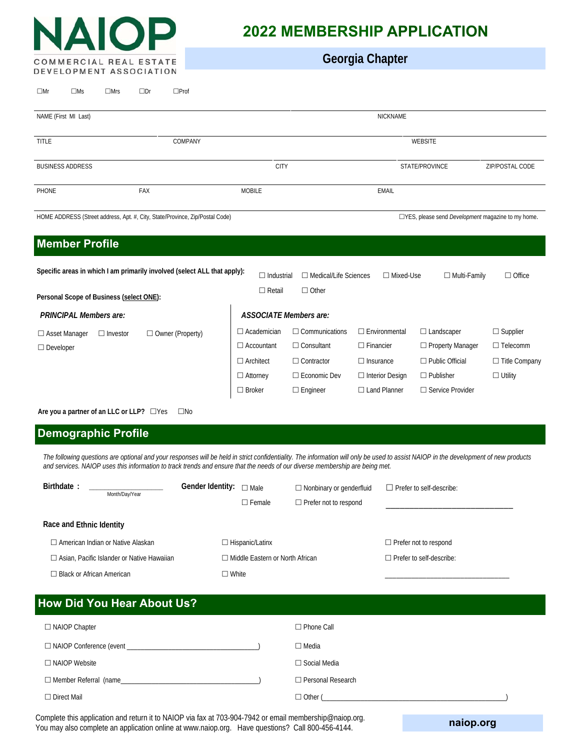

 $\Box$ Mr  $\Box$ Ms  $\Box$ Mrs  $\Box$ Dr  $\Box$ Prof

# **2022 MEMBERSHIP APPLICATION**

**Georgia Chapter**

| NAME (First MI Last)                                                                                                                                                            |                 |                    | <b>NICKNAME</b>                                                                |                                                                                        |                                                                                        |                                                                                            |                                                                         |  |
|---------------------------------------------------------------------------------------------------------------------------------------------------------------------------------|-----------------|--------------------|--------------------------------------------------------------------------------|----------------------------------------------------------------------------------------|----------------------------------------------------------------------------------------|--------------------------------------------------------------------------------------------|-------------------------------------------------------------------------|--|
| <b>TITLE</b>                                                                                                                                                                    |                 | COMPANY            |                                                                                |                                                                                        |                                                                                        | <b>WEBSITE</b>                                                                             |                                                                         |  |
| <b>BUSINESS ADDRESS</b>                                                                                                                                                         |                 |                    | <b>CITY</b>                                                                    |                                                                                        |                                                                                        | STATE/PROVINCE                                                                             | ZIP/POSTAL CODE                                                         |  |
| PHONE                                                                                                                                                                           |                 | FAX                | <b>MOBILE</b>                                                                  |                                                                                        | <b>EMAIL</b>                                                                           |                                                                                            |                                                                         |  |
| HOME ADDRESS (Street address, Apt. #, City, State/Province, Zip/Postal Code)<br>□YES, please send <i>Development</i> magazine to my home.                                       |                 |                    |                                                                                |                                                                                        |                                                                                        |                                                                                            |                                                                         |  |
| <b>Member Profile</b>                                                                                                                                                           |                 |                    |                                                                                |                                                                                        |                                                                                        |                                                                                            |                                                                         |  |
| Specific areas in which I am primarily involved (select ALL that apply):<br>□ Medical/Life Sciences<br>$\Box$ Industrial<br>□ Mixed-Use<br>$\Box$ Multi-Family<br>$\Box$ Office |                 |                    |                                                                                |                                                                                        |                                                                                        |                                                                                            |                                                                         |  |
| Personal Scope of Business (select ONE):                                                                                                                                        |                 |                    | $\Box$ Retail                                                                  | $\Box$ Other                                                                           |                                                                                        |                                                                                            |                                                                         |  |
| <b>PRINCIPAL Members are:</b><br><b>ASSOCIATE Members are:</b>                                                                                                                  |                 |                    |                                                                                |                                                                                        |                                                                                        |                                                                                            |                                                                         |  |
| $\Box$ Asset Manager<br>$\Box$ Developer                                                                                                                                        | $\Box$ Investor | □ Owner (Property) | $\Box$ Academician<br>$\Box$ Accountant<br>$\Box$ Architect<br>$\Box$ Attorney | $\Box$ Communications<br>$\Box$ Consultant<br>$\Box$ Contractor<br>$\Box$ Economic Dev | $\Box$ Environmental<br>$\Box$ Financier<br>$\Box$ Insurance<br>$\Box$ Interior Design | $\Box$ Landscaper<br>$\Box$ Property Manager<br>$\Box$ Public Official<br>$\Box$ Publisher | $\Box$ Supplier<br>$\Box$ Telecomm<br>□ Title Company<br>$\Box$ Utility |  |
|                                                                                                                                                                                 |                 |                    | $\Box$ Broker                                                                  | $\Box$ Engineer                                                                        | $\Box$ Land Planner                                                                    | □ Service Provider                                                                         |                                                                         |  |
| $\Lambda$ ro vou a partnor of an LLC or LLD2 $\Box$ Voc $\Box$ No                                                                                                               |                 |                    |                                                                                |                                                                                        |                                                                                        |                                                                                            |                                                                         |  |

**Are you a partner of an LLC or LLP?**  $\Box$  Yes  $\Box$  No

# **Demographic Profile**

*The following questions are optional and your responses will be held in strict confidentiality. The information will only be used to assist NAIOP in the development of new products and services. NAIOP uses this information to track trends and ensure that the needs of our diverse membership are being met.* 

| Birthdate:<br>Month/Day/Year                      | Gender Identity:<br>$\Box$ Male   | $\Box$ Nonbinary or genderfluid | $\Box$ Prefer to self-describe: |
|---------------------------------------------------|-----------------------------------|---------------------------------|---------------------------------|
|                                                   | $\Box$ Female                     | $\Box$ Prefer not to respond    |                                 |
| Race and Ethnic Identity                          |                                   |                                 |                                 |
| $\Box$ American Indian or Native Alaskan          | $\Box$ Hispanic/Latinx            |                                 | $\Box$ Prefer not to respond    |
| $\Box$ Asian, Pacific Islander or Native Hawaiian | □ Middle Eastern or North African |                                 | $\Box$ Prefer to self-describe: |
| $\Box$ Black or African American                  | ∃ White                           |                                 |                                 |

| <b>How Did You Hear About Us?</b> |                          |  |  |  |  |
|-----------------------------------|--------------------------|--|--|--|--|
| $\Box$ NAIOP Chapter              | $\Box$ Phone Call        |  |  |  |  |
| $\Box$ NAIOP Conference (event    | $\Box$ Media             |  |  |  |  |
| $\Box$ NAIOP Website              | $\Box$ Social Media      |  |  |  |  |
| $\Box$ Member Referral (name      | $\Box$ Personal Research |  |  |  |  |
| $\Box$ Direct Mail                | $\Box$ Other (           |  |  |  |  |

Complete this application and return it to NAIOP via fax at 703-904-7942 or email membership@naiop.org. You may also complete an application online at www.naiop.org. Have questions? Call 800-456-4144.

**naiop.org**